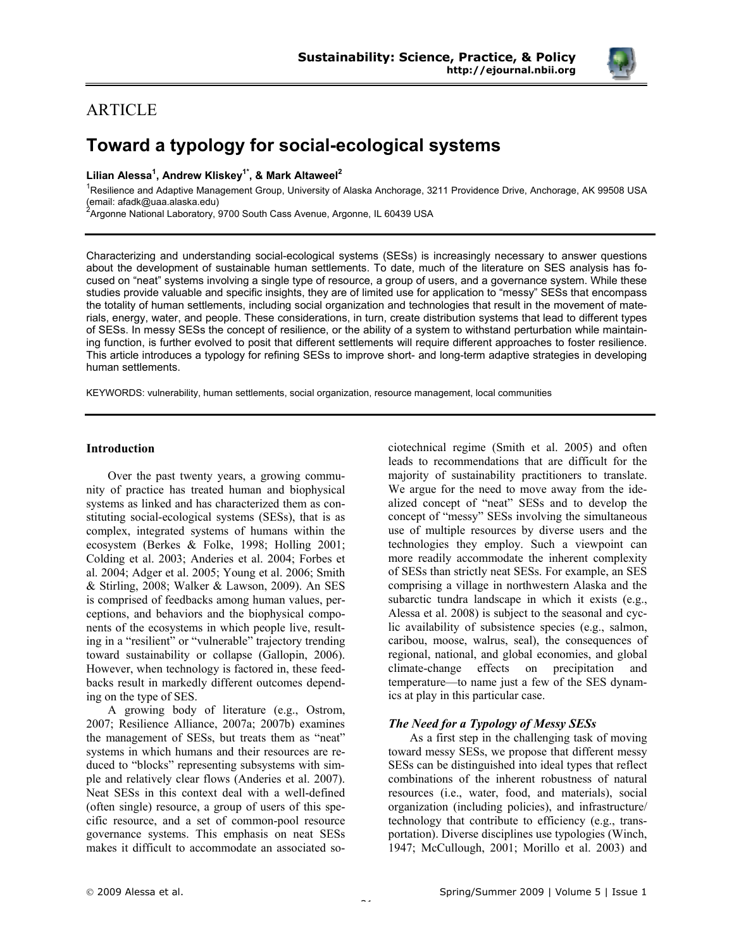

# ARTICLE

# **Toward a typology for social-ecological systems**

# **Lilian Alessa1 , Andrew Kliskey1\*, & Mark Altaweel2**

<sup>1</sup>Resilience and Adaptive Management Group, University of Alaska Anchorage, 3211 Providence Drive, Anchorage, AK 99508 USA (email: afadk@uaa.alaska.edu)<br><sup>2</sup>Argonne National Laboratory, 9700 South Cass Avenue, Argonne, IL 60439 USA

Characterizing and understanding social-ecological systems (SESs) is increasingly necessary to answer questions about the development of sustainable human settlements. To date, much of the literature on SES analysis has focused on "neat" systems involving a single type of resource, a group of users, and a governance system. While these studies provide valuable and specific insights, they are of limited use for application to "messy" SESs that encompass the totality of human settlements, including social organization and technologies that result in the movement of materials, energy, water, and people. These considerations, in turn, create distribution systems that lead to different types of SESs. In messy SESs the concept of resilience, or the ability of a system to withstand perturbation while maintaining function, is further evolved to posit that different settlements will require different approaches to foster resilience. This article introduces a typology for refining SESs to improve short- and long-term adaptive strategies in developing human settlements.

KEYWORDS: vulnerability, human settlements, social organization, resource management, local communities

# **Introduction**

Over the past twenty years, a growing community of practice has treated human and biophysical systems as linked and has characterized them as constituting social-ecological systems (SESs), that is as complex, integrated systems of humans within the ecosystem (Berkes & Folke, 1998; Holling 2001; Colding et al. 2003; Anderies et al. 2004; Forbes et al. 2004; Adger et al. 2005; Young et al. 2006; Smith & Stirling, 2008; Walker & Lawson, 2009). An SES is comprised of feedbacks among human values, perceptions, and behaviors and the biophysical components of the ecosystems in which people live, resulting in a "resilient" or "vulnerable" trajectory trending toward sustainability or collapse (Gallopin, 2006). However, when technology is factored in, these feedbacks result in markedly different outcomes depending on the type of SES.

A growing body of literature (e.g., Ostrom, 2007; Resilience Alliance, 2007a; 2007b) examines the management of SESs, but treats them as "neat" systems in which humans and their resources are reduced to "blocks" representing subsystems with simple and relatively clear flows (Anderies et al. 2007). Neat SESs in this context deal with a well-defined (often single) resource, a group of users of this specific resource, and a set of common-pool resource governance systems. This emphasis on neat SESs makes it difficult to accommodate an associated sociotechnical regime (Smith et al. 2005) and often leads to recommendations that are difficult for the majority of sustainability practitioners to translate. We argue for the need to move away from the idealized concept of "neat" SESs and to develop the concept of "messy" SESs involving the simultaneous use of multiple resources by diverse users and the technologies they employ. Such a viewpoint can more readily accommodate the inherent complexity of SESs than strictly neat SESs. For example, an SES comprising a village in northwestern Alaska and the subarctic tundra landscape in which it exists (e.g., Alessa et al. 2008) is subject to the seasonal and cyclic availability of subsistence species (e.g., salmon, caribou, moose, walrus, seal), the consequences of regional, national, and global economies, and global climate-change effects on precipitation and temperature—to name just a few of the SES dynamics at play in this particular case.

# *The Need for a Typology of Messy SESs*

As a first step in the challenging task of moving toward messy SESs, we propose that different messy SESs can be distinguished into ideal types that reflect combinations of the inherent robustness of natural resources (i.e., water, food, and materials), social organization (including policies), and infrastructure/ technology that contribute to efficiency (e.g., transportation). Diverse disciplines use typologies (Winch, 1947; McCullough, 2001; Morillo et al. 2003) and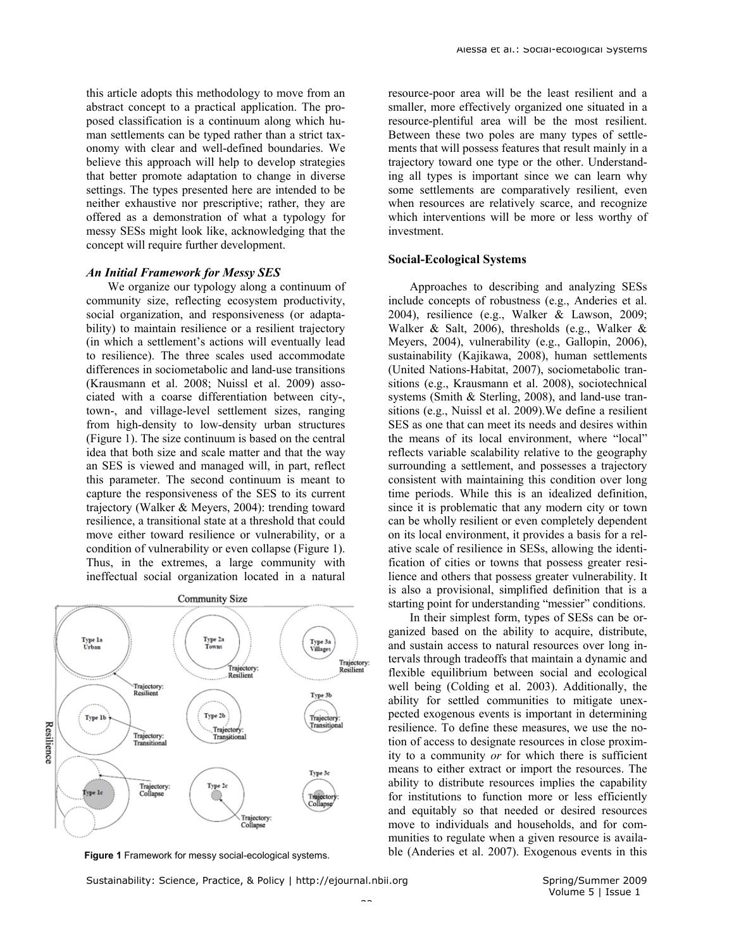this article adopts this methodology to move from an abstract concept to a practical application. The proposed classification is a continuum along which human settlements can be typed rather than a strict taxonomy with clear and well-defined boundaries. We believe this approach will help to develop strategies that better promote adaptation to change in diverse settings. The types presented here are intended to be neither exhaustive nor prescriptive; rather, they are offered as a demonstration of what a typology for messy SESs might look like, acknowledging that the concept will require further development.

## *An Initial Framework for Messy SES*

We organize our typology along a continuum of community size, reflecting ecosystem productivity, social organization, and responsiveness (or adaptability) to maintain resilience or a resilient trajectory (in which a settlement's actions will eventually lead to resilience). The three scales used accommodate differences in sociometabolic and land-use transitions (Krausmann et al. 2008; Nuissl et al. 2009) associated with a coarse differentiation between city-, town-, and village-level settlement sizes, ranging from high-density to low-density urban structures (Figure 1). The size continuum is based on the central idea that both size and scale matter and that the way an SES is viewed and managed will, in part, reflect this parameter. The second continuum is meant to capture the responsiveness of the SES to its current trajectory (Walker & Meyers, 2004): trending toward resilience, a transitional state at a threshold that could move either toward resilience or vulnerability, or a condition of vulnerability or even collapse (Figure 1). Thus, in the extremes, a large community with ineffectual social organization located in a natural

Community Size



**Figure 1** Framework for messy social-ecological systems.

resource-poor area will be the least resilient and a smaller, more effectively organized one situated in a resource-plentiful area will be the most resilient. Between these two poles are many types of settlements that will possess features that result mainly in a trajectory toward one type or the other. Understanding all types is important since we can learn why some settlements are comparatively resilient, even when resources are relatively scarce, and recognize which interventions will be more or less worthy of investment.

#### **Social-Ecological Systems**

Approaches to describing and analyzing SESs include concepts of robustness (e.g., Anderies et al. 2004), resilience (e.g., Walker & Lawson, 2009; Walker & Salt, 2006), thresholds (e.g., Walker & Meyers, 2004), vulnerability (e.g., Gallopin, 2006), sustainability (Kajikawa, 2008), human settlements (United Nations-Habitat, 2007), sociometabolic transitions (e.g., Krausmann et al. 2008), sociotechnical systems (Smith & Sterling, 2008), and land-use transitions (e.g., Nuissl et al. 2009).We define a resilient SES as one that can meet its needs and desires within the means of its local environment, where "local" reflects variable scalability relative to the geography surrounding a settlement, and possesses a trajectory consistent with maintaining this condition over long time periods. While this is an idealized definition, since it is problematic that any modern city or town can be wholly resilient or even completely dependent on its local environment, it provides a basis for a relative scale of resilience in SESs, allowing the identification of cities or towns that possess greater resilience and others that possess greater vulnerability. It is also a provisional, simplified definition that is a starting point for understanding "messier" conditions.

In their simplest form, types of SESs can be organized based on the ability to acquire, distribute, and sustain access to natural resources over long intervals through tradeoffs that maintain a dynamic and flexible equilibrium between social and ecological well being (Colding et al. 2003). Additionally, the ability for settled communities to mitigate unexpected exogenous events is important in determining resilience. To define these measures, we use the notion of access to designate resources in close proximity to a community *or* for which there is sufficient means to either extract or import the resources. The ability to distribute resources implies the capability for institutions to function more or less efficiently and equitably so that needed or desired resources move to individuals and households, and for communities to regulate when a given resource is available (Anderies et al. 2007). Exogenous events in this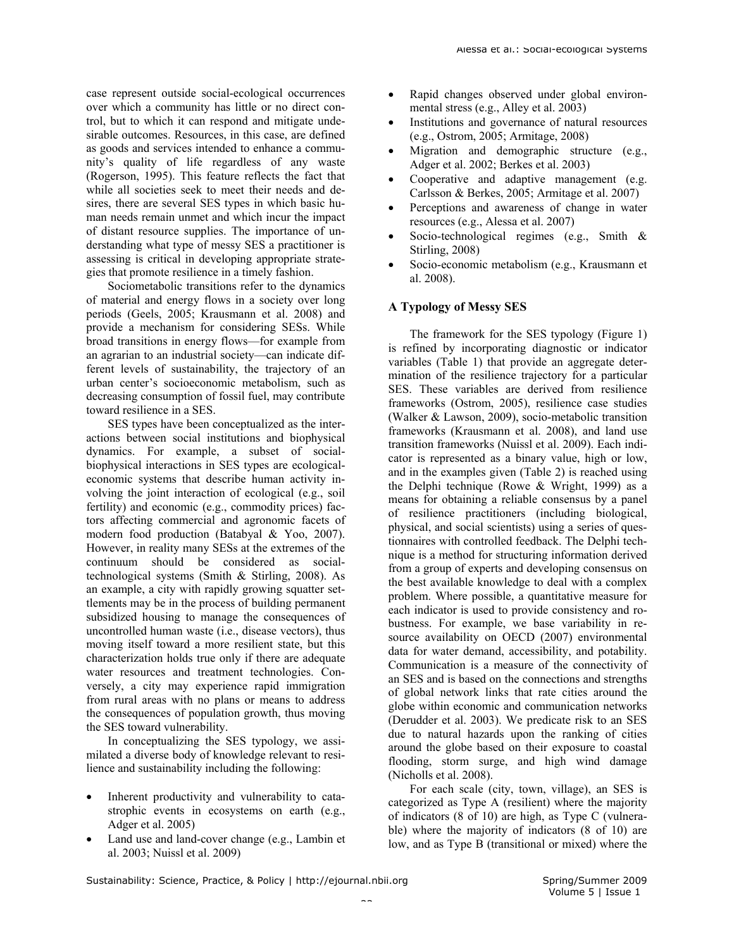case represent outside social-ecological occurrences over which a community has little or no direct control, but to which it can respond and mitigate undesirable outcomes. Resources, in this case, are defined as goods and services intended to enhance a community's quality of life regardless of any waste (Rogerson, 1995). This feature reflects the fact that while all societies seek to meet their needs and desires, there are several SES types in which basic human needs remain unmet and which incur the impact of distant resource supplies. The importance of understanding what type of messy SES a practitioner is assessing is critical in developing appropriate strategies that promote resilience in a timely fashion.

Sociometabolic transitions refer to the dynamics of material and energy flows in a society over long periods (Geels, 2005; Krausmann et al. 2008) and provide a mechanism for considering SESs. While broad transitions in energy flows—for example from an agrarian to an industrial society—can indicate different levels of sustainability, the trajectory of an urban center's socioeconomic metabolism, such as decreasing consumption of fossil fuel, may contribute toward resilience in a SES.

SES types have been conceptualized as the interactions between social institutions and biophysical dynamics. For example, a subset of socialbiophysical interactions in SES types are ecologicaleconomic systems that describe human activity involving the joint interaction of ecological (e.g., soil fertility) and economic (e.g., commodity prices) factors affecting commercial and agronomic facets of modern food production (Batabyal & Yoo, 2007). However, in reality many SESs at the extremes of the continuum should be considered as socialtechnological systems (Smith & Stirling, 2008). As an example, a city with rapidly growing squatter settlements may be in the process of building permanent subsidized housing to manage the consequences of uncontrolled human waste (i.e., disease vectors), thus moving itself toward a more resilient state, but this characterization holds true only if there are adequate water resources and treatment technologies. Conversely, a city may experience rapid immigration from rural areas with no plans or means to address the consequences of population growth, thus moving the SES toward vulnerability.

In conceptualizing the SES typology, we assimilated a diverse body of knowledge relevant to resilience and sustainability including the following:

- Inherent productivity and vulnerability to catastrophic events in ecosystems on earth (e.g., Adger et al. 2005)
- Land use and land-cover change (e.g., Lambin et al. 2003; Nuissl et al. 2009)
- Rapid changes observed under global environmental stress (e.g., Alley et al. 2003)
- Institutions and governance of natural resources (e.g., Ostrom, 2005; Armitage, 2008)
- Migration and demographic structure (e.g., Adger et al. 2002; Berkes et al. 2003)
- Cooperative and adaptive management (e.g. Carlsson & Berkes, 2005; Armitage et al. 2007)
- Perceptions and awareness of change in water resources (e.g., Alessa et al. 2007)
- Socio-technological regimes (e.g., Smith & Stirling, 2008)
- x Socio-economic metabolism (e.g., Krausmann et al. 2008).

# **A Typology of Messy SES**

The framework for the SES typology (Figure 1) is refined by incorporating diagnostic or indicator variables (Table 1) that provide an aggregate determination of the resilience trajectory for a particular SES. These variables are derived from resilience frameworks (Ostrom, 2005), resilience case studies (Walker & Lawson, 2009), socio-metabolic transition frameworks (Krausmann et al. 2008), and land use transition frameworks (Nuissl et al. 2009). Each indicator is represented as a binary value, high or low, and in the examples given (Table 2) is reached using the Delphi technique (Rowe & Wright, 1999) as a means for obtaining a reliable consensus by a panel of resilience practitioners (including biological, physical, and social scientists) using a series of questionnaires with controlled feedback. The Delphi technique is a method for structuring information derived from a group of experts and developing consensus on the best available knowledge to deal with a complex problem. Where possible, a quantitative measure for each indicator is used to provide consistency and robustness. For example, we base variability in resource availability on OECD (2007) environmental data for water demand, accessibility, and potability. Communication is a measure of the connectivity of an SES and is based on the connections and strengths of global network links that rate cities around the globe within economic and communication networks (Derudder et al. 2003). We predicate risk to an SES due to natural hazards upon the ranking of cities around the globe based on their exposure to coastal flooding, storm surge, and high wind damage (Nicholls et al. 2008).

For each scale (city, town, village), an SES is categorized as Type A (resilient) where the majority of indicators (8 of 10) are high, as Type C (vulnerable) where the majority of indicators (8 of 10) are low, and as Type B (transitional or mixed) where the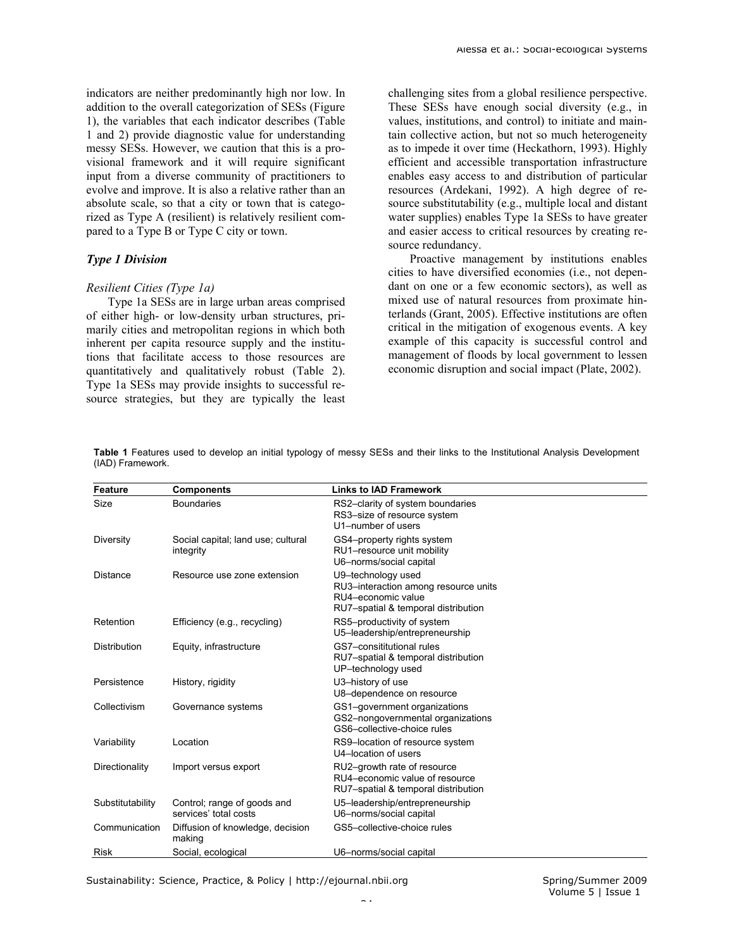indicators are neither predominantly high nor low. In addition to the overall categorization of SESs (Figure 1), the variables that each indicator describes (Table 1 and 2) provide diagnostic value for understanding messy SESs. However, we caution that this is a provisional framework and it will require significant input from a diverse community of practitioners to evolve and improve. It is also a relative rather than an absolute scale, so that a city or town that is categorized as Type A (resilient) is relatively resilient compared to a Type B or Type C city or town.

## *Type 1 Division*

#### *Resilient Cities (Type 1a)*

Type 1a SESs are in large urban areas comprised of either high- or low-density urban structures, primarily cities and metropolitan regions in which both inherent per capita resource supply and the institutions that facilitate access to those resources are quantitatively and qualitatively robust (Table 2). Type 1a SESs may provide insights to successful resource strategies, but they are typically the least challenging sites from a global resilience perspective. These SESs have enough social diversity (e.g., in values, institutions, and control) to initiate and maintain collective action, but not so much heterogeneity as to impede it over time (Heckathorn, 1993). Highly efficient and accessible transportation infrastructure enables easy access to and distribution of particular resources (Ardekani, 1992). A high degree of resource substitutability (e.g., multiple local and distant water supplies) enables Type 1a SESs to have greater and easier access to critical resources by creating resource redundancy.

Proactive management by institutions enables cities to have diversified economies (i.e., not dependant on one or a few economic sectors), as well as mixed use of natural resources from proximate hinterlands (Grant, 2005). Effective institutions are often critical in the mitigation of exogenous events. A key example of this capacity is successful control and management of floods by local government to lessen economic disruption and social impact (Plate, 2002).

| <b>Feature</b>   | <b>Components</b>                                    | <b>Links to IAD Framework</b>                                                                                           |
|------------------|------------------------------------------------------|-------------------------------------------------------------------------------------------------------------------------|
| Size             | <b>Boundaries</b>                                    | RS2-clarity of system boundaries<br>RS3-size of resource system<br>U1-number of users                                   |
| Diversity        | Social capital; land use; cultural<br>integrity      | GS4-property rights system<br>RU1-resource unit mobility<br>U6-norms/social capital                                     |
| Distance         | Resource use zone extension                          | U9-technology used<br>RU3-interaction among resource units<br>RU4-economic value<br>RU7-spatial & temporal distribution |
| Retention        | Efficiency (e.g., recycling)                         | RS5-productivity of system<br>U5-leadership/entrepreneurship                                                            |
| Distribution     | Equity, infrastructure                               | GS7-consititutional rules<br>RU7-spatial & temporal distribution<br>UP-technology used                                  |
| Persistence      | History, rigidity                                    | U3-history of use<br>U8-dependence on resource                                                                          |
| Collectivism     | Governance systems                                   | GS1-government organizations<br>GS2-nongovernmental organizations<br>GS6-collective-choice rules                        |
| Variability      | Location                                             | RS9-location of resource system<br>U4-location of users                                                                 |
| Directionality   | Import versus export                                 | RU2-growth rate of resource<br>RU4-economic value of resource<br>RU7-spatial & temporal distribution                    |
| Substitutability | Control; range of goods and<br>services' total costs | U5-leadership/entrepreneurship<br>U6-norms/social capital                                                               |
| Communication    | Diffusion of knowledge, decision<br>making           | GS5-collective-choice rules                                                                                             |
| Risk             | Social, ecological                                   | U6-norms/social capital                                                                                                 |

**Table 1** Features used to develop an initial typology of messy SESs and their links to the Institutional Analysis Development (IAD) Framework.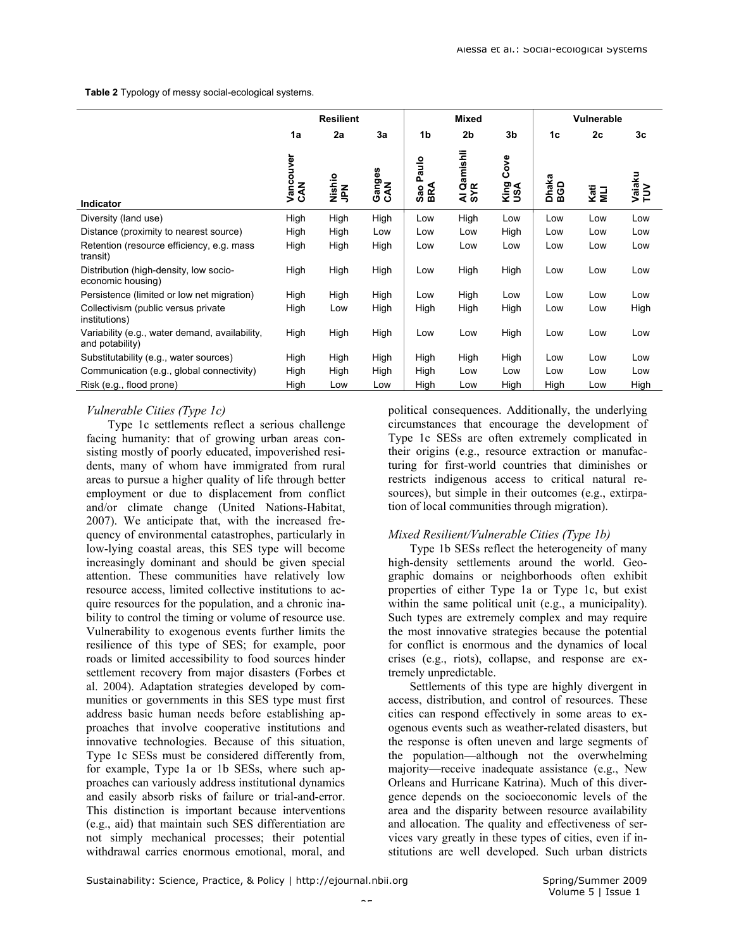**Table 2** Typology of messy social-ecological systems.

|                                                                   | <b>Resilient</b>        |                                |               |                     | <b>Mixed</b>       |                     | Vulnerable                |             |                |
|-------------------------------------------------------------------|-------------------------|--------------------------------|---------------|---------------------|--------------------|---------------------|---------------------------|-------------|----------------|
|                                                                   | 1a                      | 2a                             | 3a            | 1 <sub>b</sub>      | 2 <sub>b</sub>     | 3 <sub>b</sub>      | 1c                        | 2c          | 3 <sub>c</sub> |
| <b>Indicator</b>                                                  | Vancouver<br><b>ZAN</b> | Nishio<br>$\tilde{\mathsf{A}}$ | Ganges<br>CAN | Paulo<br>BRA<br>Sao | Al Qamishli<br>SYR | Cove<br>King<br>USA | <b>Dhaka</b><br><b>GO</b> | Kati<br>MLI | Vaiaku<br>TUV  |
| Diversity (land use)                                              | High                    | High                           | High          | Low                 | High               | Low                 | Low                       | Low         | Low            |
| Distance (proximity to nearest source)                            | High                    | High                           | Low           | Low                 | Low                | High                | Low                       | Low         | Low            |
| Retention (resource efficiency, e.g. mass<br>transit)             | High                    | High                           | High          | Low                 | Low                | Low                 | Low                       | Low         | Low            |
| Distribution (high-density, low socio-<br>economic housing)       | High                    | High                           | High          | Low                 | High               | High                | Low                       | Low         | Low            |
| Persistence (limited or low net migration)                        | High                    | High                           | High          | Low                 | High               | Low                 | Low                       | Low         | Low            |
| Collectivism (public versus private<br>institutions)              | High                    | Low                            | High          | High                | High               | High                | Low                       | Low         | High           |
| Variability (e.g., water demand, availability,<br>and potability) | High                    | High                           | High          | Low                 | Low                | High                | Low                       | Low         | Low            |
| Substitutability (e.g., water sources)                            | High                    | High                           | High          | High                | High               | High                | Low                       | Low         | Low            |
| Communication (e.g., global connectivity)                         | High                    | High                           | High          | High                | Low                | Low                 | Low                       | Low         | Low            |
| Risk (e.g., flood prone)                                          | High                    | Low                            | Low           | High                | Low                | High                | High                      | Low         | High           |

# *Vulnerable Cities (Type 1c)*

Type 1c settlements reflect a serious challenge facing humanity: that of growing urban areas consisting mostly of poorly educated, impoverished residents, many of whom have immigrated from rural areas to pursue a higher quality of life through better employment or due to displacement from conflict and/or climate change (United Nations-Habitat, 2007). We anticipate that, with the increased frequency of environmental catastrophes, particularly in low-lying coastal areas, this SES type will become increasingly dominant and should be given special attention. These communities have relatively low resource access, limited collective institutions to acquire resources for the population, and a chronic inability to control the timing or volume of resource use. Vulnerability to exogenous events further limits the resilience of this type of SES; for example, poor roads or limited accessibility to food sources hinder settlement recovery from major disasters (Forbes et al. 2004). Adaptation strategies developed by communities or governments in this SES type must first address basic human needs before establishing approaches that involve cooperative institutions and innovative technologies. Because of this situation, Type 1c SESs must be considered differently from, for example, Type 1a or 1b SESs, where such approaches can variously address institutional dynamics and easily absorb risks of failure or trial-and-error. This distinction is important because interventions (e.g., aid) that maintain such SES differentiation are not simply mechanical processes; their potential withdrawal carries enormous emotional, moral, and

political consequences. Additionally, the underlying circumstances that encourage the development of Type 1c SESs are often extremely complicated in their origins (e.g., resource extraction or manufacturing for first-world countries that diminishes or restricts indigenous access to critical natural resources), but simple in their outcomes (e.g., extirpation of local communities through migration).

# *Mixed Resilient/Vulnerable Cities (Type 1b)*

Type 1b SESs reflect the heterogeneity of many high-density settlements around the world. Geographic domains or neighborhoods often exhibit properties of either Type 1a or Type 1c, but exist within the same political unit (e.g., a municipality). Such types are extremely complex and may require the most innovative strategies because the potential for conflict is enormous and the dynamics of local crises (e.g., riots), collapse, and response are extremely unpredictable.

Settlements of this type are highly divergent in access, distribution, and control of resources. These cities can respond effectively in some areas to exogenous events such as weather-related disasters, but the response is often uneven and large segments of the population—although not the overwhelming majority—receive inadequate assistance (e.g., New Orleans and Hurricane Katrina). Much of this divergence depends on the socioeconomic levels of the area and the disparity between resource availability and allocation. The quality and effectiveness of services vary greatly in these types of cities, even if institutions are well developed. Such urban districts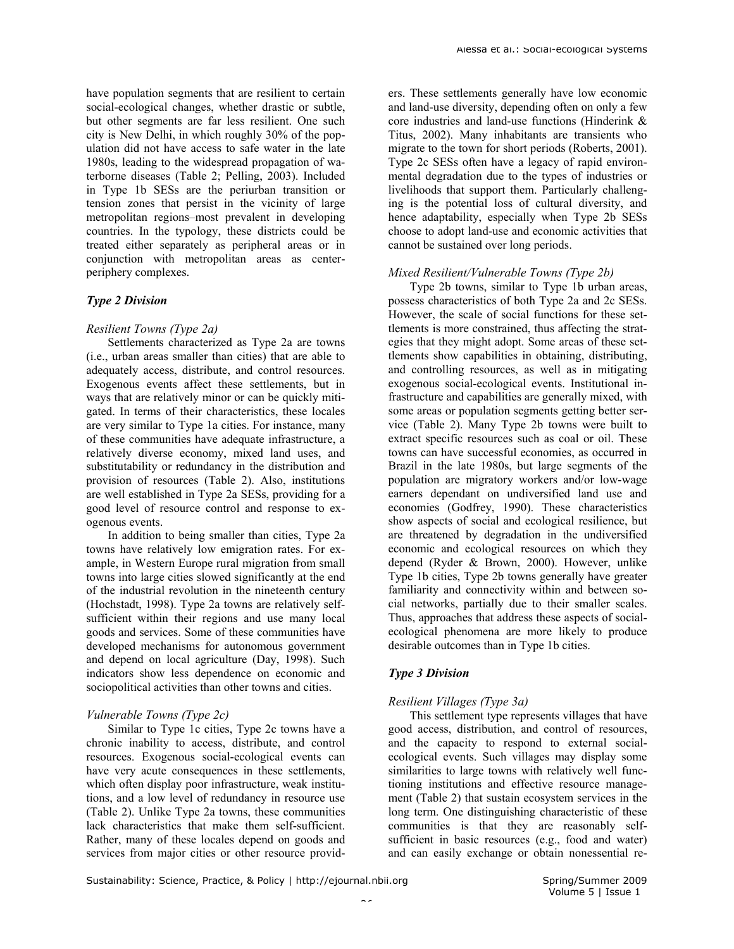have population segments that are resilient to certain social-ecological changes, whether drastic or subtle, but other segments are far less resilient. One such city is New Delhi, in which roughly 30% of the population did not have access to safe water in the late 1980s, leading to the widespread propagation of waterborne diseases (Table 2; Pelling, 2003). Included in Type 1b SESs are the periurban transition or tension zones that persist in the vicinity of large metropolitan regions–most prevalent in developing countries. In the typology, these districts could be treated either separately as peripheral areas or in conjunction with metropolitan areas as centerperiphery complexes.

# *Type 2 Division*

#### *Resilient Towns (Type 2a)*

Settlements characterized as Type 2a are towns (i.e., urban areas smaller than cities) that are able to adequately access, distribute, and control resources. Exogenous events affect these settlements, but in ways that are relatively minor or can be quickly mitigated. In terms of their characteristics, these locales are very similar to Type 1a cities. For instance, many of these communities have adequate infrastructure, a relatively diverse economy, mixed land uses, and substitutability or redundancy in the distribution and provision of resources (Table 2). Also, institutions are well established in Type 2a SESs, providing for a good level of resource control and response to exogenous events.

In addition to being smaller than cities, Type 2a towns have relatively low emigration rates. For example, in Western Europe rural migration from small towns into large cities slowed significantly at the end of the industrial revolution in the nineteenth century (Hochstadt, 1998). Type 2a towns are relatively selfsufficient within their regions and use many local goods and services. Some of these communities have developed mechanisms for autonomous government and depend on local agriculture (Day, 1998). Such indicators show less dependence on economic and sociopolitical activities than other towns and cities.

#### *Vulnerable Towns (Type 2c)*

Similar to Type 1c cities, Type 2c towns have a chronic inability to access, distribute, and control resources. Exogenous social-ecological events can have very acute consequences in these settlements, which often display poor infrastructure, weak institutions, and a low level of redundancy in resource use (Table 2). Unlike Type 2a towns, these communities lack characteristics that make them self-sufficient. Rather, many of these locales depend on goods and services from major cities or other resource providers. These settlements generally have low economic and land-use diversity, depending often on only a few core industries and land-use functions (Hinderink & Titus, 2002). Many inhabitants are transients who migrate to the town for short periods (Roberts, 2001). Type 2c SESs often have a legacy of rapid environmental degradation due to the types of industries or livelihoods that support them. Particularly challenging is the potential loss of cultural diversity, and hence adaptability, especially when Type 2b SESs choose to adopt land-use and economic activities that cannot be sustained over long periods.

# *Mixed Resilient/Vulnerable Towns (Type 2b)*

Type 2b towns, similar to Type 1b urban areas, possess characteristics of both Type 2a and 2c SESs. However, the scale of social functions for these settlements is more constrained, thus affecting the strategies that they might adopt. Some areas of these settlements show capabilities in obtaining, distributing, and controlling resources, as well as in mitigating exogenous social-ecological events. Institutional infrastructure and capabilities are generally mixed, with some areas or population segments getting better service (Table 2). Many Type 2b towns were built to extract specific resources such as coal or oil. These towns can have successful economies, as occurred in Brazil in the late 1980s, but large segments of the population are migratory workers and/or low-wage earners dependant on undiversified land use and economies (Godfrey, 1990). These characteristics show aspects of social and ecological resilience, but are threatened by degradation in the undiversified economic and ecological resources on which they depend (Ryder & Brown, 2000). However, unlike Type 1b cities, Type 2b towns generally have greater familiarity and connectivity within and between social networks, partially due to their smaller scales. Thus, approaches that address these aspects of socialecological phenomena are more likely to produce desirable outcomes than in Type 1b cities.

## *Type 3 Division*

## *Resilient Villages (Type 3a)*

This settlement type represents villages that have good access, distribution, and control of resources, and the capacity to respond to external socialecological events. Such villages may display some similarities to large towns with relatively well functioning institutions and effective resource management (Table 2) that sustain ecosystem services in the long term. One distinguishing characteristic of these communities is that they are reasonably selfsufficient in basic resources (e.g., food and water) and can easily exchange or obtain nonessential re-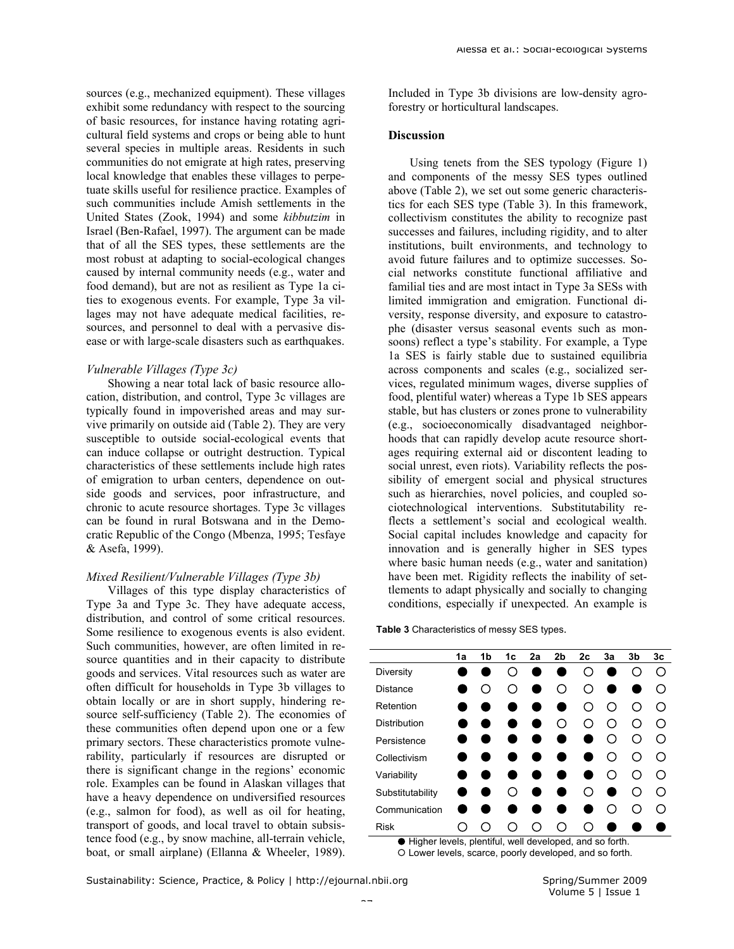sources (e.g., mechanized equipment). These villages exhibit some redundancy with respect to the sourcing of basic resources, for instance having rotating agricultural field systems and crops or being able to hunt several species in multiple areas. Residents in such communities do not emigrate at high rates, preserving local knowledge that enables these villages to perpetuate skills useful for resilience practice. Examples of such communities include Amish settlements in the United States (Zook, 1994) and some *kibbutzim* in Israel (Ben-Rafael, 1997). The argument can be made that of all the SES types, these settlements are the most robust at adapting to social-ecological changes caused by internal community needs (e.g., water and food demand), but are not as resilient as Type 1a cities to exogenous events. For example, Type 3a villages may not have adequate medical facilities, resources, and personnel to deal with a pervasive disease or with large-scale disasters such as earthquakes.

## *Vulnerable Villages (Type 3c)*

Showing a near total lack of basic resource allocation, distribution, and control, Type 3c villages are typically found in impoverished areas and may survive primarily on outside aid (Table 2). They are very susceptible to outside social-ecological events that can induce collapse or outright destruction. Typical characteristics of these settlements include high rates of emigration to urban centers, dependence on outside goods and services, poor infrastructure, and chronic to acute resource shortages. Type 3c villages can be found in rural Botswana and in the Democratic Republic of the Congo (Mbenza, 1995; Tesfaye & Asefa, 1999).

# *Mixed Resilient/Vulnerable Villages (Type 3b)*

Villages of this type display characteristics of Type 3a and Type 3c. They have adequate access, distribution, and control of some critical resources. Some resilience to exogenous events is also evident. Such communities, however, are often limited in resource quantities and in their capacity to distribute goods and services. Vital resources such as water are often difficult for households in Type 3b villages to obtain locally or are in short supply, hindering resource self-sufficiency (Table 2). The economies of these communities often depend upon one or a few primary sectors. These characteristics promote vulnerability, particularly if resources are disrupted or there is significant change in the regions' economic role. Examples can be found in Alaskan villages that have a heavy dependence on undiversified resources (e.g., salmon for food), as well as oil for heating, transport of goods, and local travel to obtain subsistence food (e.g., by snow machine, all-terrain vehicle, boat, or small airplane) (Ellanna & Wheeler, 1989).

Included in Type 3b divisions are low-density agroforestry or horticultural landscapes.

## **Discussion**

Using tenets from the SES typology (Figure 1) and components of the messy SES types outlined above (Table 2), we set out some generic characteristics for each SES type (Table 3). In this framework, collectivism constitutes the ability to recognize past successes and failures, including rigidity, and to alter institutions, built environments, and technology to avoid future failures and to optimize successes. Social networks constitute functional affiliative and familial ties and are most intact in Type 3a SESs with limited immigration and emigration. Functional diversity, response diversity, and exposure to catastrophe (disaster versus seasonal events such as monsoons) reflect a type's stability. For example, a Type 1a SES is fairly stable due to sustained equilibria across components and scales (e.g., socialized services, regulated minimum wages, diverse supplies of food, plentiful water) whereas a Type 1b SES appears stable, but has clusters or zones prone to vulnerability (e.g., socioeconomically disadvantaged neighborhoods that can rapidly develop acute resource shortages requiring external aid or discontent leading to social unrest, even riots). Variability reflects the possibility of emergent social and physical structures such as hierarchies, novel policies, and coupled sociotechnological interventions. Substitutability reflects a settlement's social and ecological wealth. Social capital includes knowledge and capacity for innovation and is generally higher in SES types where basic human needs (e.g., water and sanitation) have been met. Rigidity reflects the inability of settlements to adapt physically and socially to changing conditions, especially if unexpected. An example is

**Table 3** Characteristics of messy SES types.

|                  | 1a | 1b | 1c            | 2a | 2 <sub>b</sub> | 2c               | 3a  | 3b | 3 <sub>c</sub>         |
|------------------|----|----|---------------|----|----------------|------------------|-----|----|------------------------|
| Diversity        |    |    | ()            |    |                | ( )              |     | () | $\left( \right)$       |
| <b>Distance</b>  |    |    | $\rightarrow$ |    | ( )            | ()               |     |    | 0                      |
| Retention        |    |    |               |    |                | ()               | ()  | () | $\left( \quad \right)$ |
| Distribution     |    |    |               |    | ()             | $\left( \right)$ | ()  | () | $\left( \right)$       |
| Persistence      |    |    |               |    |                |                  | ( ) | () | ()                     |
| Collectivism     |    |    |               |    |                |                  | ()  | () | ()                     |
| Variability      |    |    |               |    |                |                  | ( ) | () | ()                     |
| Substitutability |    |    | ( )           |    |                | ∩                |     | ∩  | ()                     |
| Communication    |    |    |               |    |                |                  | ()  | () | ()                     |
| <b>Risk</b>      |    |    |               |    |                | c                |     |    |                        |

 Higher levels, plentiful, well developed, and so forth. O Lower levels, scarce, poorly developed, and so forth.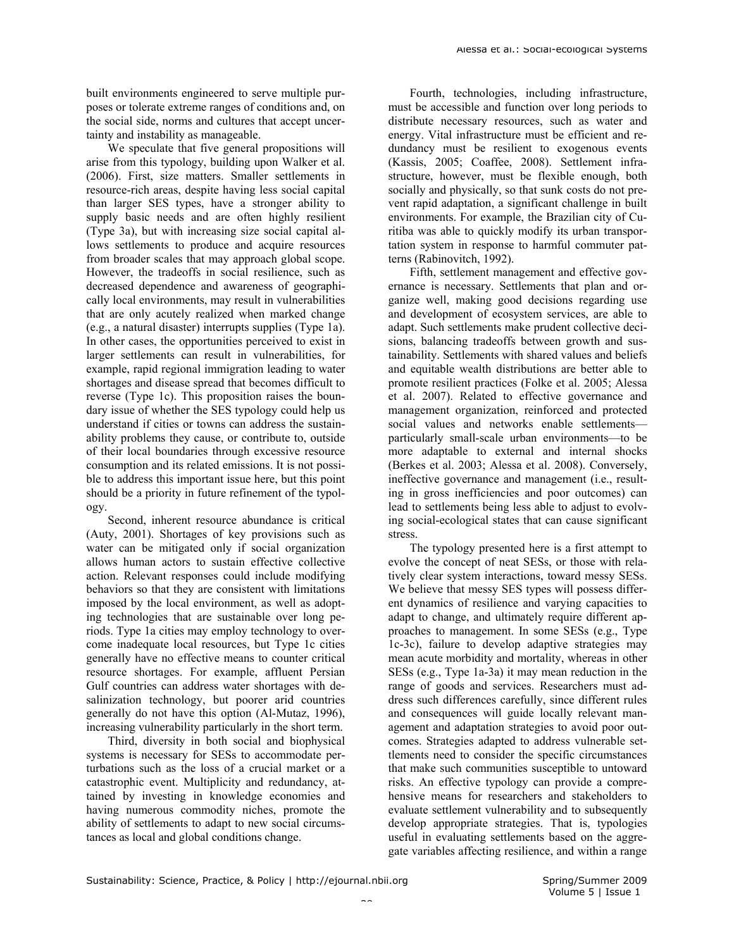built environments engineered to serve multiple purposes or tolerate extreme ranges of conditions and, on the social side, norms and cultures that accept uncertainty and instability as manageable.

We speculate that five general propositions will arise from this typology, building upon Walker et al. (2006). First, size matters. Smaller settlements in resource-rich areas, despite having less social capital than larger SES types, have a stronger ability to supply basic needs and are often highly resilient (Type 3a), but with increasing size social capital allows settlements to produce and acquire resources from broader scales that may approach global scope. However, the tradeoffs in social resilience, such as decreased dependence and awareness of geographically local environments, may result in vulnerabilities that are only acutely realized when marked change (e.g., a natural disaster) interrupts supplies (Type 1a). In other cases, the opportunities perceived to exist in larger settlements can result in vulnerabilities, for example, rapid regional immigration leading to water shortages and disease spread that becomes difficult to reverse (Type 1c). This proposition raises the boundary issue of whether the SES typology could help us understand if cities or towns can address the sustainability problems they cause, or contribute to, outside of their local boundaries through excessive resource consumption and its related emissions. It is not possible to address this important issue here, but this point should be a priority in future refinement of the typology.

Second, inherent resource abundance is critical (Auty, 2001). Shortages of key provisions such as water can be mitigated only if social organization allows human actors to sustain effective collective action. Relevant responses could include modifying behaviors so that they are consistent with limitations imposed by the local environment, as well as adopting technologies that are sustainable over long periods. Type 1a cities may employ technology to overcome inadequate local resources, but Type 1c cities generally have no effective means to counter critical resource shortages. For example, affluent Persian Gulf countries can address water shortages with desalinization technology, but poorer arid countries generally do not have this option (Al-Mutaz, 1996), increasing vulnerability particularly in the short term.

Third, diversity in both social and biophysical systems is necessary for SESs to accommodate perturbations such as the loss of a crucial market or a catastrophic event. Multiplicity and redundancy, attained by investing in knowledge economies and having numerous commodity niches, promote the ability of settlements to adapt to new social circumstances as local and global conditions change.

Fourth, technologies, including infrastructure, must be accessible and function over long periods to distribute necessary resources, such as water and energy. Vital infrastructure must be efficient and redundancy must be resilient to exogenous events (Kassis, 2005; Coaffee, 2008). Settlement infrastructure, however, must be flexible enough, both socially and physically, so that sunk costs do not prevent rapid adaptation, a significant challenge in built environments. For example, the Brazilian city of Curitiba was able to quickly modify its urban transportation system in response to harmful commuter patterns (Rabinovitch, 1992).

Fifth, settlement management and effective governance is necessary. Settlements that plan and organize well, making good decisions regarding use and development of ecosystem services, are able to adapt. Such settlements make prudent collective decisions, balancing tradeoffs between growth and sustainability. Settlements with shared values and beliefs and equitable wealth distributions are better able to promote resilient practices (Folke et al. 2005; Alessa et al. 2007). Related to effective governance and management organization, reinforced and protected social values and networks enable settlements particularly small-scale urban environments—to be more adaptable to external and internal shocks (Berkes et al. 2003; Alessa et al. 2008). Conversely, ineffective governance and management (i.e., resulting in gross inefficiencies and poor outcomes) can lead to settlements being less able to adjust to evolving social-ecological states that can cause significant stress.

The typology presented here is a first attempt to evolve the concept of neat SESs, or those with relatively clear system interactions, toward messy SESs. We believe that messy SES types will possess different dynamics of resilience and varying capacities to adapt to change, and ultimately require different approaches to management. In some SESs (e.g., Type 1c-3c), failure to develop adaptive strategies may mean acute morbidity and mortality, whereas in other SESs (e.g., Type 1a-3a) it may mean reduction in the range of goods and services. Researchers must address such differences carefully, since different rules and consequences will guide locally relevant management and adaptation strategies to avoid poor outcomes. Strategies adapted to address vulnerable settlements need to consider the specific circumstances that make such communities susceptible to untoward risks. An effective typology can provide a comprehensive means for researchers and stakeholders to evaluate settlement vulnerability and to subsequently develop appropriate strategies. That is, typologies useful in evaluating settlements based on the aggregate variables affecting resilience, and within a range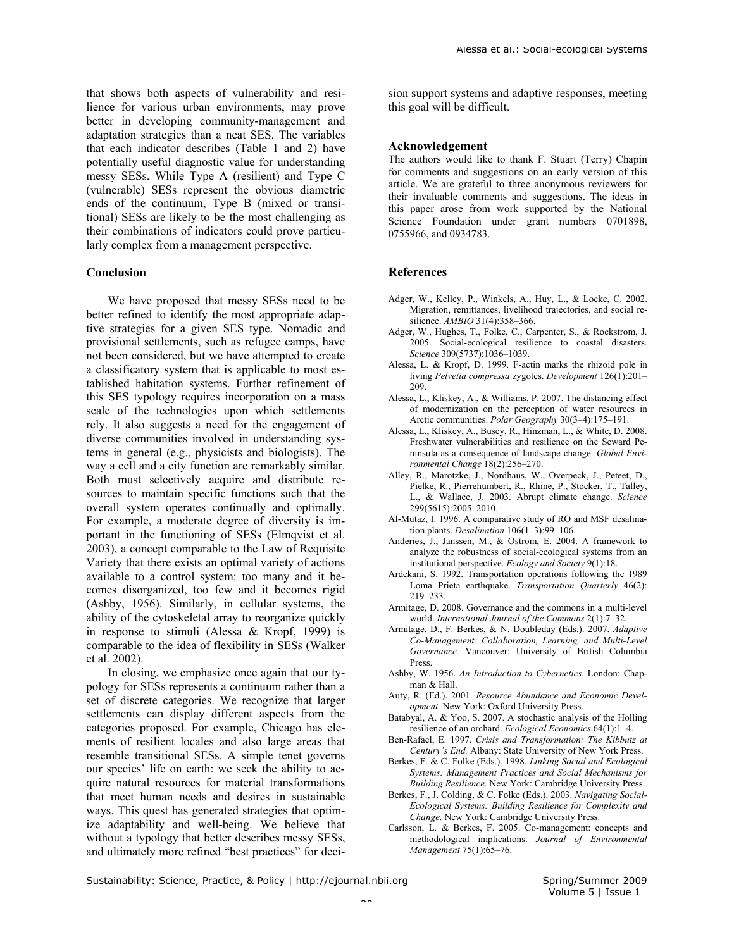that shows both aspects of vulnerability and resilience for various urban environments, may prove better in developing community-management and adaptation strategies than a neat SES. The variables that each indicator describes (Table 1 and 2) have potentially useful diagnostic value for understanding messy SESs. While Type A (resilient) and Type C (vulnerable) SESs represent the obvious diametric ends of the continuum, Type B (mixed or transitional) SESs are likely to be the most challenging as their combinations of indicators could prove particularly complex from a management perspective.

## **Conclusion**

We have proposed that messy SESs need to be better refined to identify the most appropriate adaptive strategies for a given SES type. Nomadic and provisional settlements, such as refugee camps, have not been considered, but we have attempted to create a classificatory system that is applicable to most established habitation systems. Further refinement of this SES typology requires incorporation on a mass scale of the technologies upon which settlements rely. It also suggests a need for the engagement of diverse communities involved in understanding systems in general (e.g., physicists and biologists). The way a cell and a city function are remarkably similar. Both must selectively acquire and distribute resources to maintain specific functions such that the overall system operates continually and optimally. For example, a moderate degree of diversity is important in the functioning of SESs (Elmqvist et al. 2003), a concept comparable to the Law of Requisite Variety that there exists an optimal variety of actions available to a control system: too many and it becomes disorganized, too few and it becomes rigid (Ashby, 1956). Similarly, in cellular systems, the ability of the cytoskeletal array to reorganize quickly in response to stimuli (Alessa & Kropf, 1999) is comparable to the idea of flexibility in SESs (Walker et al. 2002).

In closing, we emphasize once again that our typology for SESs represents a continuum rather than a set of discrete categories. We recognize that larger settlements can display different aspects from the categories proposed. For example, Chicago has elements of resilient locales and also large areas that resemble transitional SESs. A simple tenet governs our species' life on earth: we seek the ability to acquire natural resources for material transformations that meet human needs and desires in sustainable ways. This quest has generated strategies that optimize adaptability and well-being. We believe that without a typology that better describes messy SESs, and ultimately more refined "best practices" for decision support systems and adaptive responses, meeting this goal will be difficult.

# **Acknowledgement**

The authors would like to thank F. Stuart (Terry) Chapin for comments and suggestions on an early version of this article. We are grateful to three anonymous reviewers for their invaluable comments and suggestions. The ideas in this paper arose from work supported by the National Science Foundation under grant numbers 0701898, 0755966, and 0934783.

#### **References**

- Adger, W., Kelley, P., Winkels, A., Huy, L., & Locke, C. 2002. Migration, remittances, livelihood trajectories, and social resilience. *AMBIO* 31(4):358–366.
- Adger, W., Hughes, T., Folke, C., Carpenter, S., & Rockstrom, J. 2005. Social-ecological resilience to coastal disasters. *Science* 309(5737):1036–1039.
- Alessa, L. & Kropf, D. 1999. F-actin marks the rhizoid pole in living *Pelvetia compressa* zygotes. *Development* 126(1):201– 209.
- Alessa, L., Kliskey, A., & Williams, P. 2007. The distancing effect of modernization on the perception of water resources in Arctic communities. *Polar Geography* 30(3–4):175–191.
- Alessa, L., Kliskey, A., Busey, R., Hinzman, L., & White, D. 2008. Freshwater vulnerabilities and resilience on the Seward Peninsula as a consequence of landscape change. *Global Environmental Change* 18(2):256–270.
- Alley, R., Marotzke, J., Nordhaus, W., Overpeck, J., Peteet, D., Pielke, R., Pierrehumbert, R., Rhine, P., Stocker, T., Talley, L., & Wallace, J. 2003. Abrupt climate change. *Science* 299(5615):2005–2010.
- Al-Mutaz, I. 1996. A comparative study of RO and MSF desalination plants. *Desalination* 106(1–3):99–106.
- Anderies, J., Janssen, M., & Ostrom, E. 2004. A framework to analyze the robustness of social-ecological systems from an institutional perspective. *Ecology and Society* 9(1):18.
- Ardekani, S. 1992. Transportation operations following the 1989 Loma Prieta earthquake. *Transportation Quarterly* 46(2): 219–233.
- Armitage, D. 2008. Governance and the commons in a multi-level world. *International Journal of the Commons* 2(1):7–32.
- Armitage, D., F. Berkes, & N. Doubleday (Eds.). 2007. *Adaptive Co-Management: Collaboration, Learning, and Multi-Level Governance.* Vancouver: University of British Columbia Press.
- Ashby, W. 1956. *An Introduction to Cybernetics*. London: Chap $max$   $\&$  Hall
- Auty, R. (Ed.). 2001. *Resource Abundance and Economic Development.* New York: Oxford University Press.
- Batabyal, A. & Yoo, S. 2007. A stochastic analysis of the Holling resilience of an orchard. *Ecological Economics* 64(1):1–4.
- Ben-Rafael, E. 1997. *Crisis and Transformation: The Kibbutz at Century's End.* Albany: State University of New York Press.
- Berkes, F. & C. Folke (Eds.). 1998. *Linking Social and Ecological Systems: Management Practices and Social Mechanisms for Building Resilience*. New York: Cambridge University Press.
- Berkes, F., J. Colding, & C. Folke (Eds.). 2003. *Navigating Social-Ecological Systems: Building Resilience for Complexity and Change.* New York: Cambridge University Press.
- Carlsson, L. & Berkes, F. 2005. Co-management: concepts and methodological implications. *Journal of Environmental Management* 75(1):65–76.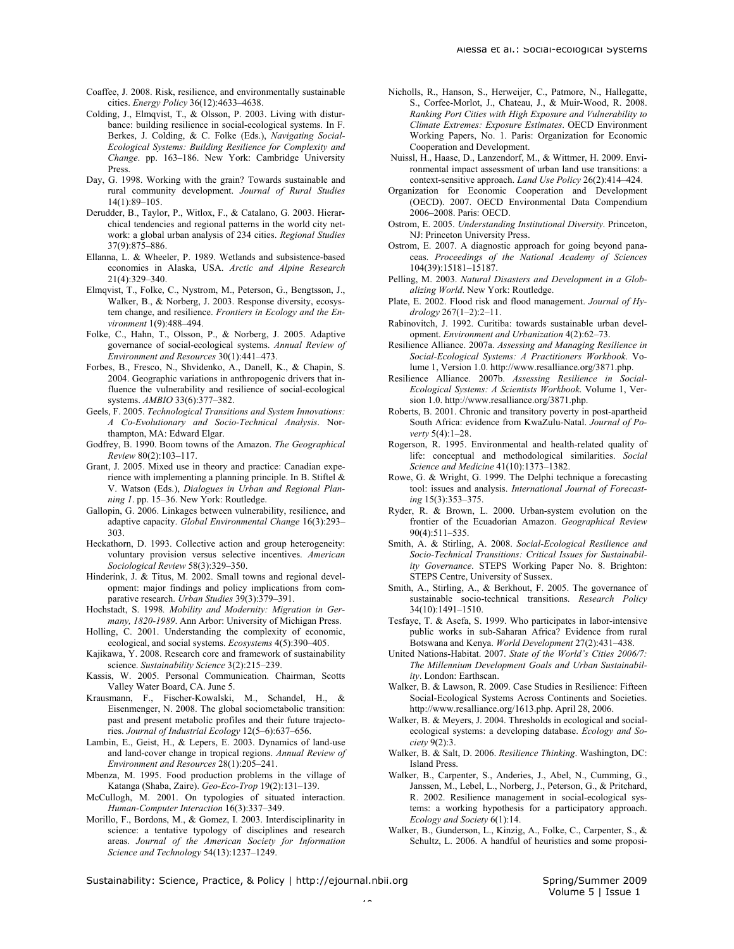- Coaffee, J. 2008. Risk, resilience, and environmentally sustainable cities. *Energy Policy* 36(12):4633–4638.
- Colding, J., Elmqvist, T., & Olsson, P. 2003. Living with disturbance: building resilience in social-ecological systems. In F. Berkes, J. Colding, & C. Folke (Eds.), *Navigating Social-Ecological Systems: Building Resilience for Complexity and Change*. pp. 163–186. New York: Cambridge University Press.
- Day, G. 1998. Working with the grain? Towards sustainable and rural community development. *Journal of Rural Studies* 14(1):89–105.
- Derudder, B., Taylor, P., Witlox, F., & Catalano, G. 2003. Hierarchical tendencies and regional patterns in the world city network: a global urban analysis of 234 cities. *Regional Studies* 37(9):875–886.
- Ellanna, L. & Wheeler, P. 1989. Wetlands and subsistence-based economies in Alaska, USA. *Arctic and Alpine Research* 21(4):329–340.
- Elmqvist, T., Folke, C., Nystrom, M., Peterson, G., Bengtsson, J., Walker, B., & Norberg, J. 2003. Response diversity, ecosystem change, and resilience. *Frontiers in Ecology and the Environment* 1(9):488–494.
- Folke, C., Hahn, T., Olsson, P., & Norberg, J. 2005. Adaptive governance of social-ecological systems. *Annual Review of Environment and Resources* 30(1):441–473.
- Forbes, B., Fresco, N., Shvidenko, A., Danell, K., & Chapin, S. 2004. Geographic variations in anthropogenic drivers that influence the vulnerability and resilience of social-ecological systems. *AMBIO* 33(6):377–382.
- Geels, F. 2005. *Technological Transitions and System Innovations: A Co-Evolutionary and Socio-Technical Analysis*. Northampton, MA: Edward Elgar.
- Godfrey, B. 1990. Boom towns of the Amazon. *The Geographical Review* 80(2):103–117.
- Grant, J. 2005. Mixed use in theory and practice: Canadian experience with implementing a planning principle. In B. Stiftel & V. Watson (Eds.), *Dialogues in Urban and Regional Planning 1*. pp. 15–36. New York: Routledge.
- Gallopin, G. 2006. Linkages between vulnerability, resilience, and adaptive capacity. *Global Environmental Change* 16(3):293– 303.
- Heckathorn, D. 1993. Collective action and group heterogeneity: voluntary provision versus selective incentives. *American Sociological Review* 58(3):329–350.
- Hinderink, J. & Titus, M. 2002. Small towns and regional development: major findings and policy implications from comparative research. *Urban Studies* 39(3):379–391.
- Hochstadt, S. 1998*. Mobility and Modernity: Migration in Germany, 1820-1989*. Ann Arbor: University of Michigan Press.
- Holling, C. 2001. Understanding the complexity of economic, ecological, and social systems. *Ecosystems* 4(5):390–405.
- Kajikawa, Y. 2008. Research core and framework of sustainability science. *Sustainability Science* 3(2):215–239.
- Kassis, W. 2005. Personal Communication. Chairman, Scotts Valley Water Board, CA. June 5.
- Krausmann, F., Fischer-Kowalski, M., Schandel, H., & Eisenmenger, N. 2008. The global sociometabolic transition: past and present metabolic profiles and their future trajectories. *Journal of Industrial Ecology* 12(5–6):637–656.
- Lambin, E., Geist, H., & Lepers, E. 2003. Dynamics of land-use and land-cover change in tropical regions. *Annual Review of Environment and Resources* 28(1):205–241.
- Mbenza, M. 1995. Food production problems in the village of Katanga (Shaba, Zaire). *Geo-Eco-Trop* 19(2):131–139.
- McCullogh, M. 2001. On typologies of situated interaction. *Human-Computer Interaction* 16(3):337–349.
- Morillo, F., Bordons, M., & Gomez, I. 2003. Interdisciplinarity in science: a tentative typology of disciplines and research areas. *Journal of the American Society for Information Science and Technology* 54(13):1237–1249.
- Nicholls, R., Hanson, S., Herweijer, C., Patmore, N., Hallegatte, S., Corfee-Morlot, J., Chateau, J., & Muir-Wood, R. 2008. *Ranking Port Cities with High Exposure and Vulnerability to Climate Extremes: Exposure Estimates*. OECD Environment Working Papers, No. 1. Paris: Organization for Economic Cooperation and Development.
- Nuissl, H., Haase, D., Lanzendorf, M., & Wittmer, H. 2009. Environmental impact assessment of urban land use transitions: a context-sensitive approach. *Land Use Policy* 26(2):414–424.
- Organization for Economic Cooperation and Development (OECD). 2007. OECD Environmental Data Compendium 2006–2008. Paris: OECD.
- Ostrom, E. 2005. *Understanding Institutional Diversity*. Princeton, NJ: Princeton University Press.
- Ostrom, E. 2007. A diagnostic approach for going beyond panaceas. *Proceedings of the National Academy of Sciences* 104(39):15181–15187.
- Pelling, M. 2003. *Natural Disasters and Development in a Globalizing World*. New York: Routledge.
- Plate, E. 2002. Flood risk and flood management. *Journal of Hydrology* 267(1–2):2–11.
- Rabinovitch, J. 1992. Curitiba: towards sustainable urban development. *Environment and Urbanization* 4(2):62–73.
- Resilience Alliance. 2007a. *Assessing and Managing Resilience in Social-Ecological Systems: A Practitioners Workbook*. Volume 1, Version 1.0. http://www.resalliance.org/3871.php.
- Resilience Alliance. 2007b. *Assessing Resilience in Social-Ecological Systems: A Scientists Workbook*. Volume 1, Version 1.0. http://www.resalliance.org/3871.php.
- Roberts, B. 2001. Chronic and transitory poverty in post-apartheid South Africa: evidence from KwaZulu-Natal. *Journal of Poverty* 5(4):1–28.
- Rogerson, R. 1995. Environmental and health-related quality of life: conceptual and methodological similarities. *Social Science and Medicine* 41(10):1373–1382.
- Rowe, G. & Wright, G. 1999. The Delphi technique a forecasting tool: issues and analysis. *International Journal of Forecasting* 15(3):353–375.
- Ryder, R. & Brown, L. 2000. Urban-system evolution on the frontier of the Ecuadorian Amazon. *Geographical Review* 90(4):511–535.
- Smith, A. & Stirling, A. 2008. *Social-Ecological Resilience and Socio-Technical Transitions: Critical Issues for Sustainability Governance*. STEPS Working Paper No. 8. Brighton: STEPS Centre, University of Sussex.
- Smith, A., Stirling, A., & Berkhout, F. 2005. The governance of sustainable socio-technical transitions. *Research Policy* 34(10):1491–1510.
- Tesfaye, T. & Asefa, S. 1999. Who participates in labor-intensive public works in sub-Saharan Africa? Evidence from rural Botswana and Kenya. *World Development* 27(2):431–438.
- United Nations-Habitat. 2007. *State of the World's Cities 2006/7: The Millennium Development Goals and Urban Sustainability*. London: Earthscan.
- Walker, B. & Lawson, R. 2009. Case Studies in Resilience: Fifteen Social-Ecological Systems Across Continents and Societies. http://www.resalliance.org/1613.php. April 28, 2006.
- Walker, B. & Meyers, J. 2004. Thresholds in ecological and socialecological systems: a developing database. *Ecology and Society* 9(2):3.
- Walker, B. & Salt, D. 2006. *Resilience Thinking*. Washington, DC: Island Press.
- Walker, B., Carpenter, S., Anderies, J., Abel, N., Cumming, G., Janssen, M., Lebel, L., Norberg, J., Peterson, G., & Pritchard, R. 2002. Resilience management in social-ecological systems: a working hypothesis for a participatory approach. *Ecology and Society* 6(1):14.
- Walker, B., Gunderson, L., Kinzig, A., Folke, C., Carpenter, S., & Schultz, L. 2006. A handful of heuristics and some proposi-